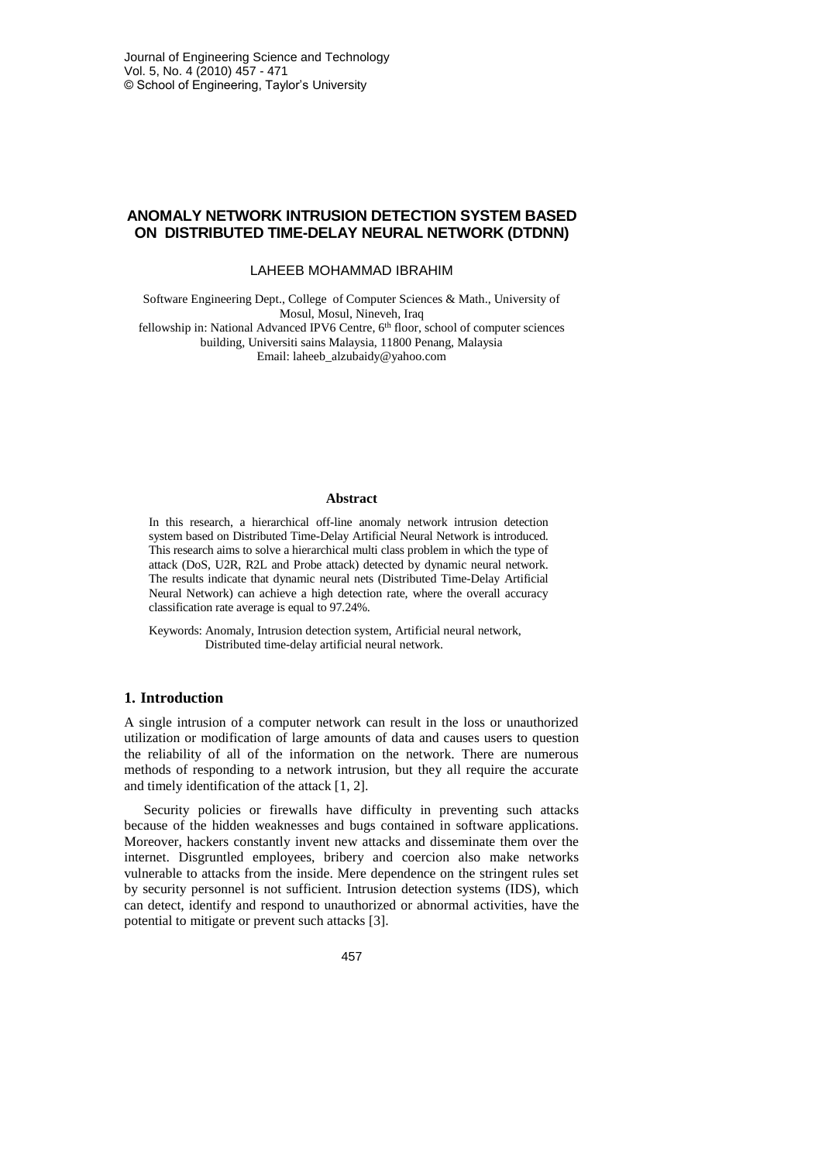### **ANOMALY NETWORK INTRUSION DETECTION SYSTEM BASED ON DISTRIBUTED TIME-DELAY NEURAL NETWORK (DTDNN)**

#### LAHEEB MOHAMMAD IBRAHIM

Software Engineering Dept., College of Computer Sciences & Math., University of Mosul, Mosul, Nineveh, Iraq

fellowship in: National Advanced IPV6 Centre, 6<sup>th</sup> floor, school of computer sciences building, Universiti sains Malaysia, 11800 Penang, Malaysia Email[: laheeb\\_alzubaidy@](mailto:laheeb_alzubaidy)yahoo.com

#### **Abstract**

In this research, a hierarchical off-line anomaly network intrusion detection system based on Distributed Time-Delay Artificial Neural Network is introduced. This research aims to solve a hierarchical multi class problem in which the type of attack (DoS, U2R, R2L and Probe attack) detected by dynamic neural network. The results indicate that dynamic neural nets (Distributed Time-Delay Artificial Neural Network) can achieve a high detection rate, where the overall accuracy classification rate average is equal to 97.24%.

Keywords: Anomaly, Intrusion detection system, Artificial neural network, Distributed time-delay artificial neural network.

### **1. Introduction**

A single intrusion of a computer network can result in the loss or unauthorized utilization or modification of large amounts of data and causes users to question the reliability of all of the information on the network. There are numerous methods of responding to a network intrusion, but they all require the accurate and timely identification of the attack [1, 2].

Security policies or firewalls have difficulty in preventing such attacks because of the hidden weaknesses and bugs contained in software applications. Moreover, hackers constantly invent new attacks and disseminate them over the internet. Disgruntled employees, bribery and coercion also make networks vulnerable to attacks from the inside. Mere dependence on the stringent rules set by security personnel is not sufficient. Intrusion detection systems (IDS), which can detect, identify and respond to unauthorized or abnormal activities, have the potential to mitigate or prevent such attacks [3].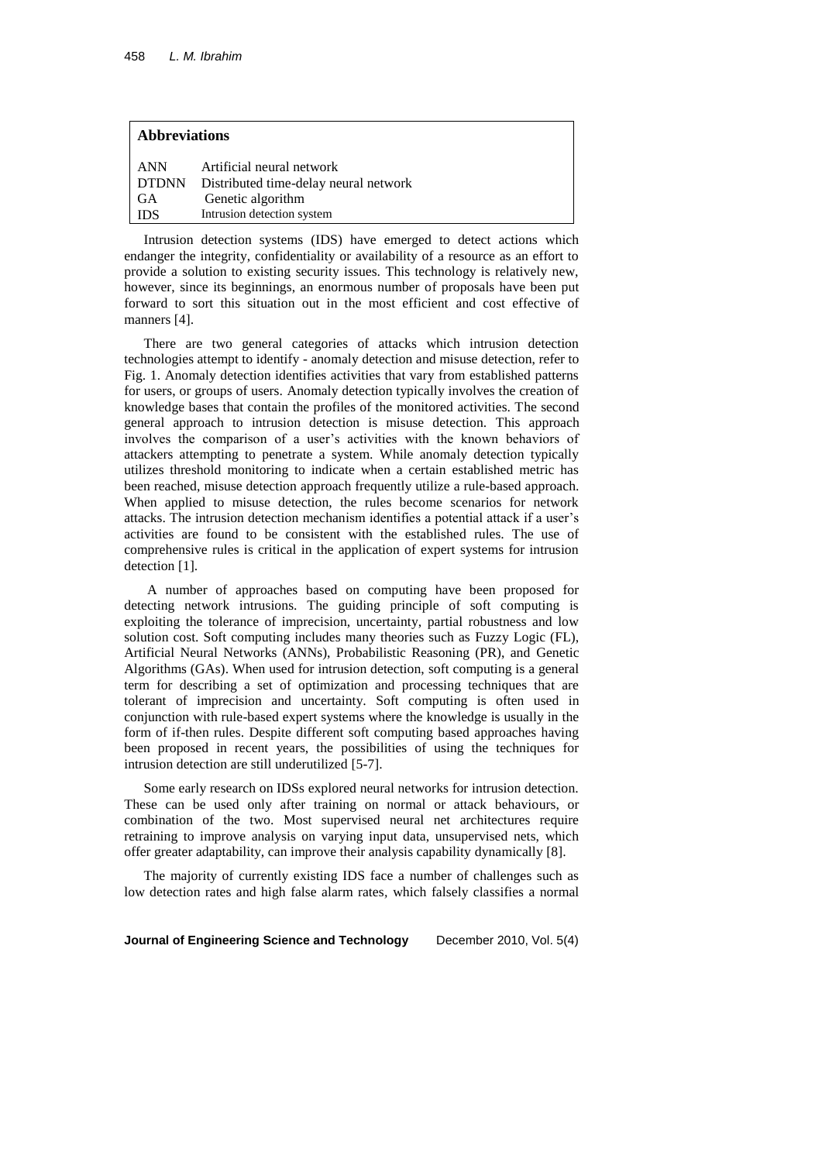| <b>Abbreviations</b> |                                             |  |  |
|----------------------|---------------------------------------------|--|--|
| ANN                  | Artificial neural network                   |  |  |
|                      | DTDNN Distributed time-delay neural network |  |  |
| - GA                 | Genetic algorithm                           |  |  |
| <b>IDS</b>           | Intrusion detection system                  |  |  |

Intrusion detection systems (IDS) have emerged to detect actions which endanger the integrity, confidentiality or availability of a resource as an effort to provide a solution to existing security issues. This technology is relatively new, however, since its beginnings, an enormous number of proposals have been put forward to sort this situation out in the most efficient and cost effective of manners [4].

There are two general categories of attacks which intrusion detection technologies attempt to identify - anomaly detection and misuse detection, refer to Fig. 1. Anomaly detection identifies activities that vary from established patterns for users, or groups of users. Anomaly detection typically involves the creation of knowledge bases that contain the profiles of the monitored activities. The second general approach to intrusion detection is misuse detection. This approach involves the comparison of a user's activities with the known behaviors of attackers attempting to penetrate a system. While anomaly detection typically utilizes threshold monitoring to indicate when a certain established metric has been reached, misuse detection approach frequently utilize a rule-based approach. When applied to misuse detection, the rules become scenarios for network attacks. The intrusion detection mechanism identifies a potential attack if a user's activities are found to be consistent with the established rules. The use of comprehensive rules is critical in the application of expert systems for intrusion detection [1].

A number of approaches based on computing have been proposed for detecting network intrusions. The guiding principle of soft computing is exploiting the tolerance of imprecision, uncertainty, partial robustness and low solution cost. Soft computing includes many theories such as Fuzzy Logic (FL), Artificial Neural Networks (ANNs), Probabilistic Reasoning (PR), and Genetic Algorithms (GAs). When used for intrusion detection, soft computing is a general term for describing a set of optimization and processing techniques that are tolerant of imprecision and uncertainty. Soft computing is often used in conjunction with rule-based expert systems where the knowledge is usually in the form of if-then rules. Despite different soft computing based approaches having been proposed in recent years, the possibilities of using the techniques for intrusion detection are still underutilized [5-7].

Some early research on IDSs explored neural networks for intrusion detection. These can be used only after training on normal or attack behaviours, or combination of the two. Most supervised neural net architectures require retraining to improve analysis on varying input data, unsupervised nets, which offer greater adaptability, can improve their analysis capability dynamically [8].

The majority of currently existing IDS face a number of challenges such as low detection rates and high false alarm rates*,* which falsely classifies a normal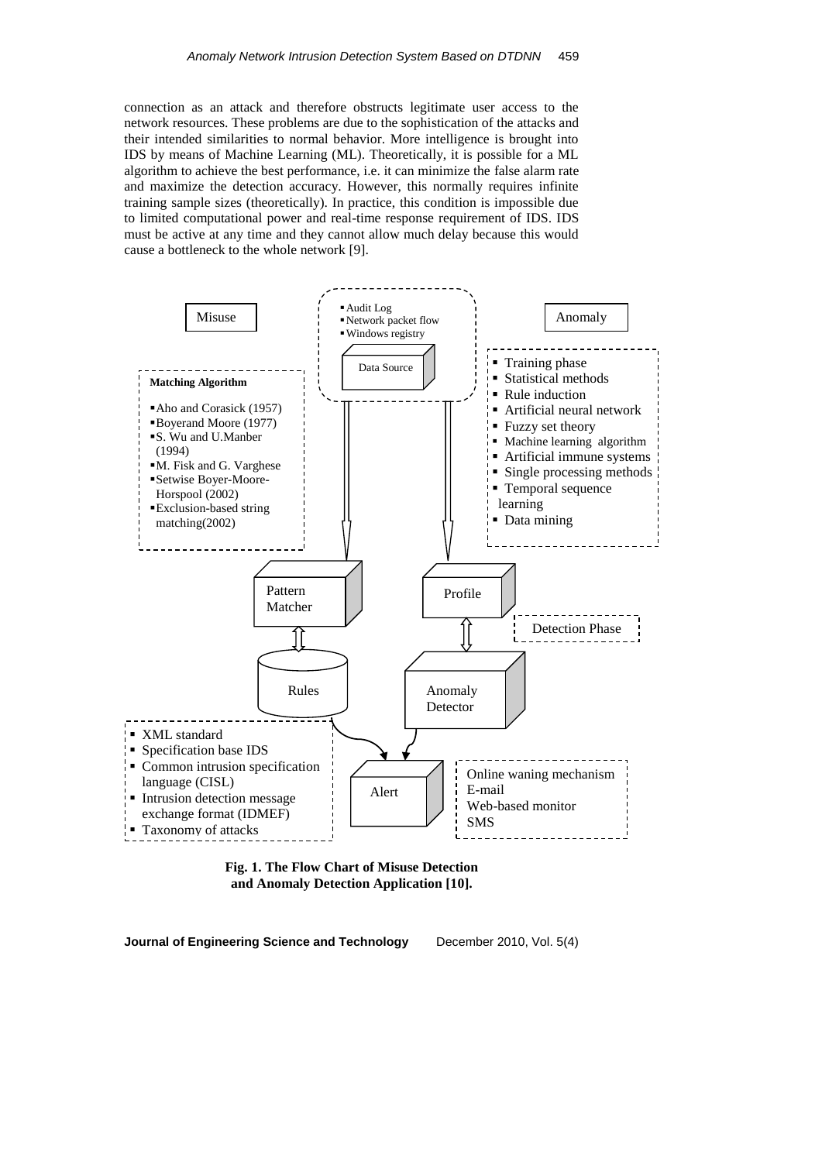connection as an attack and therefore obstructs legitimate user access to the network resources. These problems are due to the sophistication of the attacks and their intended similarities to normal behavior. More intelligence is brought into IDS by means of Machine Learning (ML). Theoretically, it is possible for a ML algorithm to achieve the best performance, i.e. it can minimize the false alarm rate and maximize the detection accuracy. However, this normally requires infinite training sample sizes (theoretically). In practice, this condition is impossible due to limited computational power and real-time response requirement of IDS. IDS must be active at any time and they cannot allow much delay because this would cause a bottleneck to the whole network [9].



**Fig. 1. The Flow Chart of Misuse Detection and Anomaly Detection Application [10].**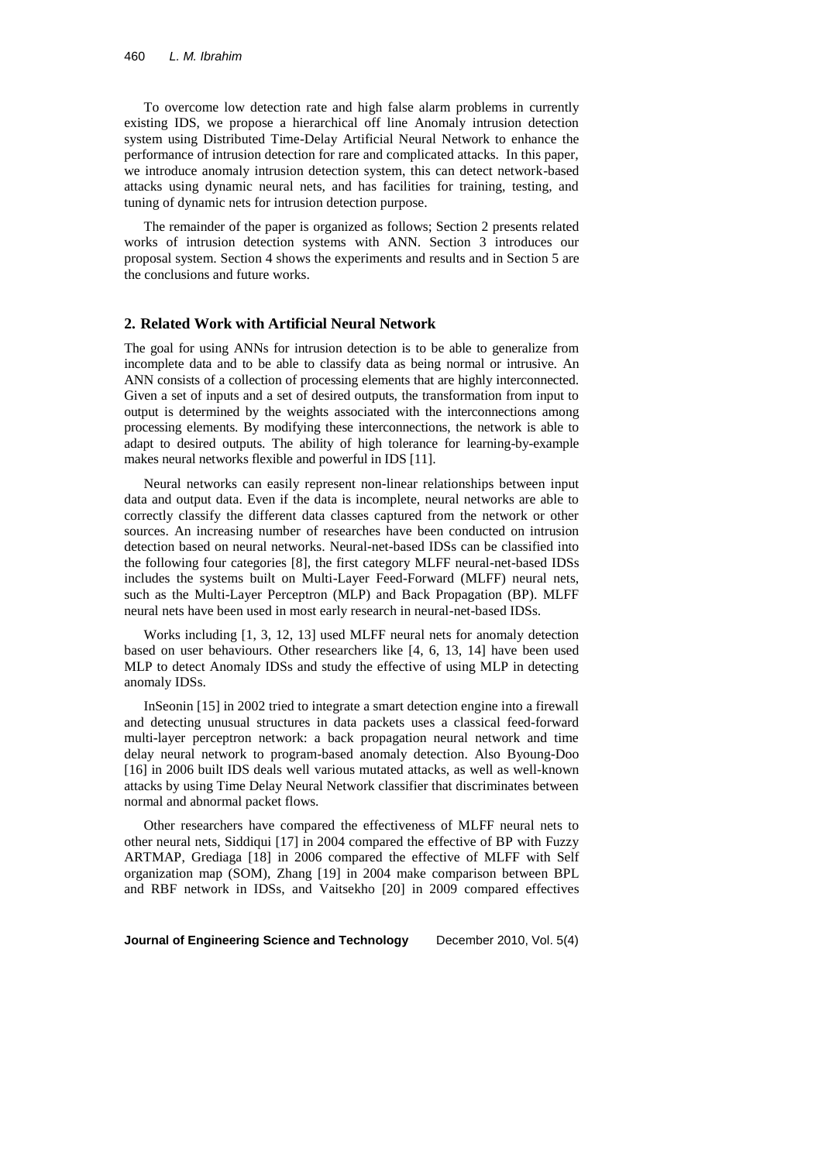To overcome low detection rate and high false alarm problems in currently existing IDS, we propose a hierarchical off line Anomaly intrusion detection system using Distributed Time-Delay Artificial Neural Network to enhance the performance of intrusion detection for rare and complicated attacks. In this paper, we introduce anomaly intrusion detection system, this can detect network-based attacks using dynamic neural nets, and has facilities for training, testing, and tuning of dynamic nets for intrusion detection purpose.

The remainder of the paper is organized as follows; Section 2 presents related works of intrusion detection systems with ANN. Section 3 introduces our proposal system. Section 4 shows the experiments and results and in Section 5 are the conclusions and future works.

#### **2. Related Work with Artificial Neural Network**

The goal for using ANNs for intrusion detection is to be able to generalize from incomplete data and to be able to classify data as being normal or intrusive. An ANN consists of a collection of processing elements that are highly interconnected. Given a set of inputs and a set of desired outputs, the transformation from input to output is determined by the weights associated with the interconnections among processing elements. By modifying these interconnections, the network is able to adapt to desired outputs. The ability of high tolerance for learning-by-example makes neural networks flexible and powerful in IDS [11].

Neural networks can easily represent non-linear relationships between input data and output data. Even if the data is incomplete, neural networks are able to correctly classify the different data classes captured from the network or other sources. An increasing number of researches have been conducted on intrusion detection based on neural networks. Neural-net-based IDSs can be classified into the following four categories [8], the first category MLFF neural-net-based IDSs includes the systems built on Multi-Layer Feed-Forward (MLFF) neural nets, such as the Multi-Layer Perceptron (MLP) and Back Propagation (BP). MLFF neural nets have been used in most early research in neural-net-based IDSs.

Works including [1, 3, 12, 13] used MLFF neural nets for anomaly detection based on user behaviours. Other researchers like [4, 6, 13, 14] have been used MLP to detect Anomaly IDSs and study the effective of using MLP in detecting anomaly IDSs.

InSeonin [15] in 2002 tried to integrate a smart detection engine into a firewall and detecting unusual structures in data packets uses a classical feed-forward multi-layer perceptron network: a back propagation neural network and time delay neural network to program-based anomaly detection. Also Byoung-Doo [16] in 2006 built IDS deals well various mutated attacks, as well as well-known attacks by using Time Delay Neural Network classifier that discriminates between normal and abnormal packet flows.

Other researchers have compared the effectiveness of MLFF neural nets to other neural nets, Siddiqui [17] in 2004 compared the effective of BP with Fuzzy ARTMAP, Grediaga [18] in 2006 compared the effective of MLFF with Self organization map (SOM), Zhang [19] in 2004 make comparison between BPL and RBF network in IDSs, and Vaitsekho [20] in 2009 compared effectives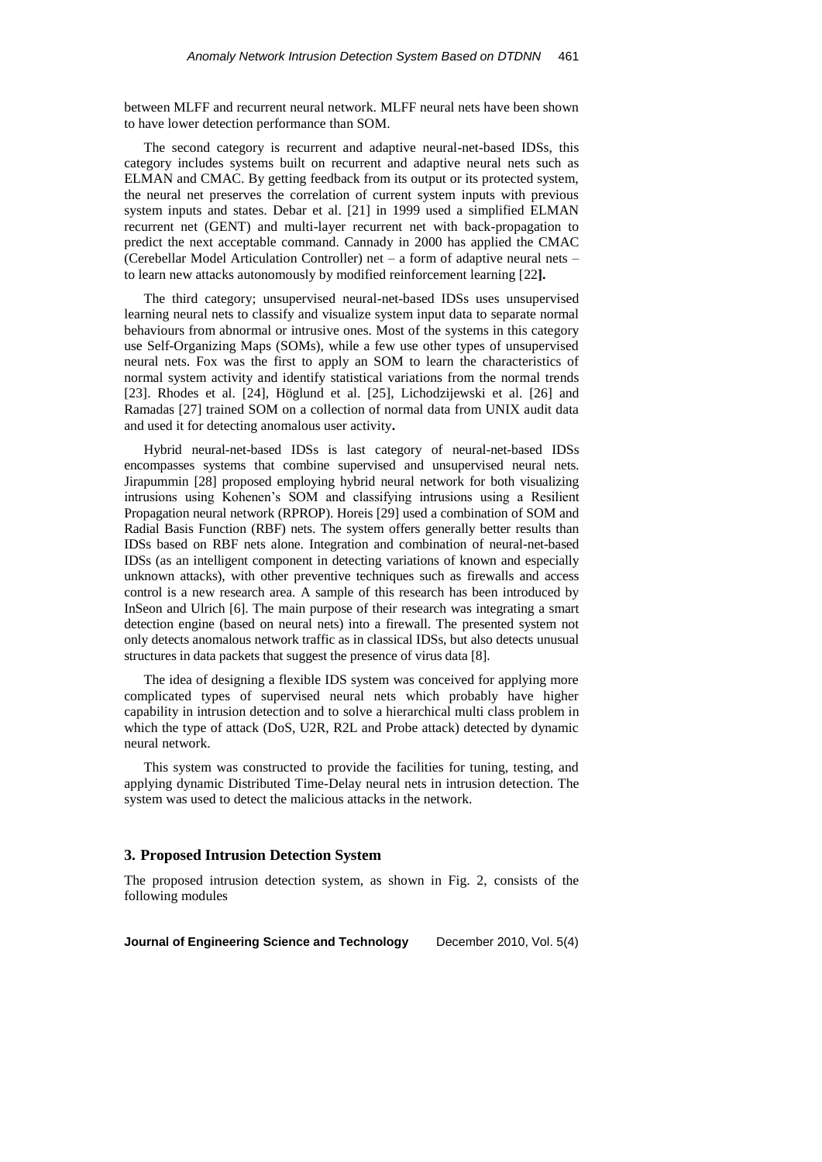between MLFF and recurrent neural network. MLFF neural nets have been shown to have lower detection performance than SOM.

The second category is recurrent and adaptive neural-net-based IDSs, this category includes systems built on recurrent and adaptive neural nets such as ELMAN and CMAC. By getting feedback from its output or its protected system, the neural net preserves the correlation of current system inputs with previous system inputs and states. Debar et al. [21] in 1999 used a simplified ELMAN recurrent net (GENT) and multi-layer recurrent net with back-propagation to predict the next acceptable command. Cannady in 2000 has applied the CMAC (Cerebellar Model Articulation Controller) net – a form of adaptive neural nets – to learn new attacks autonomously by modified reinforcement learning [22**].**

The third category; unsupervised neural-net-based IDSs uses unsupervised learning neural nets to classify and visualize system input data to separate normal behaviours from abnormal or intrusive ones. Most of the systems in this category use Self-Organizing Maps (SOMs), while a few use other types of unsupervised neural nets. Fox was the first to apply an SOM to learn the characteristics of normal system activity and identify statistical variations from the normal trends [23]. Rhodes et al. [24], Höglund et al. [25], Lichodzijewski et al. [26] and Ramadas [27] trained SOM on a collection of normal data from UNIX audit data and used it for detecting anomalous user activity**.**

Hybrid neural-net-based IDSs is last category of neural-net-based IDSs encompasses systems that combine supervised and unsupervised neural nets. Jirapummin [28] proposed employing hybrid neural network for both visualizing intrusions using Kohenen's SOM and classifying intrusions using a Resilient Propagation neural network (RPROP). Horeis [29] used a combination of SOM and Radial Basis Function (RBF) nets. The system offers generally better results than IDSs based on RBF nets alone. Integration and combination of neural-net-based IDSs (as an intelligent component in detecting variations of known and especially unknown attacks), with other preventive techniques such as firewalls and access control is a new research area. A sample of this research has been introduced by InSeon and Ulrich [6]. The main purpose of their research was integrating a smart detection engine (based on neural nets) into a firewall. The presented system not only detects anomalous network traffic as in classical IDSs, but also detects unusual structures in data packets that suggest the presence of virus data [8].

The idea of designing a flexible IDS system was conceived for applying more complicated types of supervised neural nets which probably have higher capability in intrusion detection and to solve a hierarchical multi class problem in which the type of attack (DoS, U2R, R2L and Probe attack) detected by dynamic neural network.

This system was constructed to provide the facilities for tuning, testing, and applying dynamic Distributed Time-Delay neural nets in intrusion detection. The system was used to detect the malicious attacks in the network.

### **3. Proposed Intrusion Detection System**

The proposed intrusion detection system, as shown in Fig. 2, consists of the following modules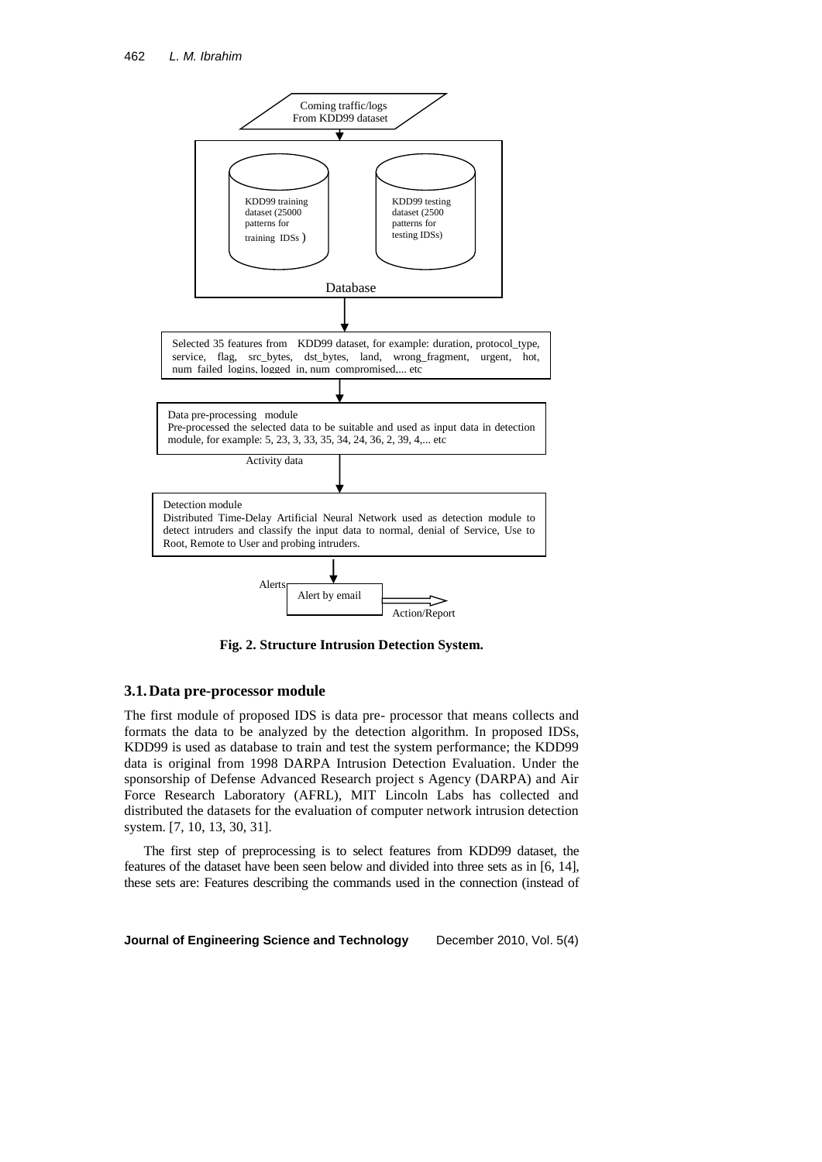

**Fig. 2. Structure Intrusion Detection System.**

#### **3.1.Data pre-processor module**

The first module of proposed IDS is data pre- processor that means collects and formats the data to be analyzed by the detection algorithm. In proposed IDSs, KDD99 is used as database to train and test the system performance; the KDD99 data is original from 1998 DARPA Intrusion Detection Evaluation. Under the sponsorship of Defense Advanced Research project s Agency (DARPA) and Air Force Research Laboratory (AFRL), MIT Lincoln Labs has collected and distributed the datasets for the evaluation of computer network intrusion detection system. [7, 10, 13, 30, 31].

The first step of preprocessing is to select features from KDD99 dataset, the features of the dataset have been seen below and divided into three sets as in [6, 14], these sets are: Features describing the commands used in the connection (instead of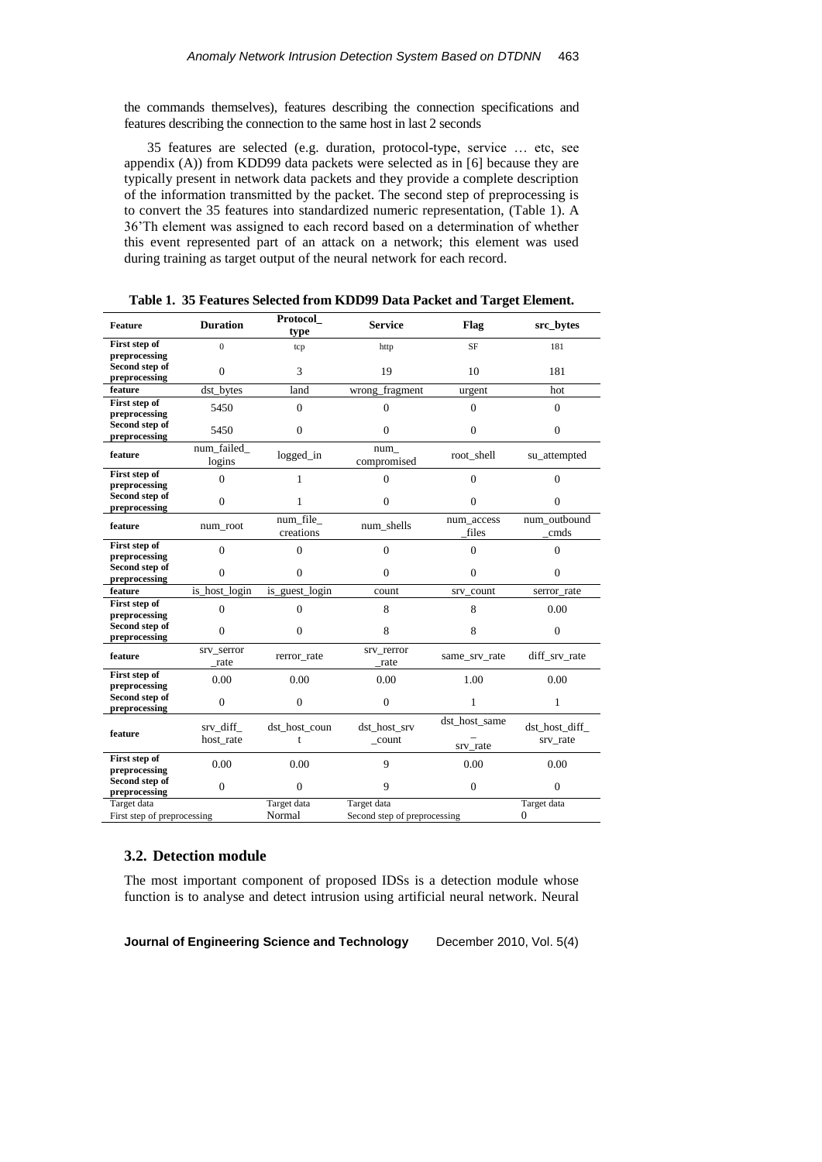the commands themselves), features describing the connection specifications and features describing the connection to the same host in last 2 seconds

35 features are selected (e.g. duration, protocol-type, service … etc, see appendix (A)) from KDD99 data packets were selected as in [6] because they are typically present in network data packets and they provide a complete description of the information transmitted by the packet. The second step of preprocessing is to convert the 35 features into standardized numeric representation, (Table 1). A 36'Th element was assigned to each record based on a determination of whether this event represented part of an attack on a network; this element was used during training as target output of the neural network for each record.

| <b>Feature</b>                             | <b>Duration</b>       | Protocol<br>type      | <b>Service</b>                              | Flag                      | src_bytes                 |
|--------------------------------------------|-----------------------|-----------------------|---------------------------------------------|---------------------------|---------------------------|
| First step of<br>preprocessing             | $\overline{0}$        | tcp                   | http                                        | <b>SF</b>                 | 181                       |
| Second step of<br>preprocessing            | $\Omega$              | 3                     | 19                                          | 10                        | 181                       |
| feature                                    | dst_bytes             | land                  | wrong_fragment                              | urgent                    | hot                       |
| First step of<br>preprocessing             | 5450                  | $\theta$              | $\Omega$                                    | $\Omega$                  | $\theta$                  |
| Second step of<br>preprocessing            | 5450                  | $\theta$              | $\Omega$                                    | $\Omega$                  | $\theta$                  |
| feature                                    | num_failed_<br>logins | $logged_in$           | num<br>compromised                          | root shell                | su_attempted              |
| First step of<br>preprocessing             | $\overline{0}$        | 1                     | $\overline{0}$                              | $\Omega$                  | $\Omega$                  |
| Second step of<br>preprocessing            | $\theta$              | 1                     | $\theta$                                    | $\Omega$                  | $\Omega$                  |
| feature                                    | num_root              | num file<br>creations | num_shells                                  | num_access<br>files       | num outbound<br>cmds      |
| First step of<br>preprocessing             | $\overline{0}$        | 0                     | $\theta$                                    | $\theta$                  | $\theta$                  |
| Second step of<br>preprocessing            | $\theta$              | $\Omega$              | $\mathbf{0}$                                | $\theta$                  | $\overline{0}$            |
| feature                                    | is host login         | is guest login        | count                                       | srv_count                 | serror rate               |
| First step of<br>preprocessing             | $\theta$              | $\theta$              | 8                                           | 8                         | 0.00                      |
| Second step of<br>preprocessing            | $\theta$              | $\Omega$              | 8                                           | 8                         | $\theta$                  |
| feature                                    | srv_serror<br>rate    | rerror_rate           | srv_rerror<br>rate                          | same_srv_rate             | diff_srv_rate             |
| First step of<br>preprocessing             | 0.00                  | 0.00                  | 0.00                                        | 1.00                      | 0.00                      |
| Second step of<br>preprocessing            | $\overline{0}$        | $\Omega$              | $\Omega$                                    | 1                         | 1                         |
| feature                                    | srv diff<br>host rate | dst host coun<br>t    | dst host srv<br>count                       | dst_host_same<br>srv rate | dst host diff<br>srv_rate |
| First step of<br>preprocessing             | 0.00                  | 0.00                  | 9                                           | 0.00                      | 0.00                      |
| Second step of<br>preprocessing            | $\overline{0}$        | $\Omega$              | 9                                           | $\mathbf{0}$              | $\theta$                  |
| Target data<br>First step of preprocessing |                       | Target data<br>Normal | Target data<br>Second step of preprocessing |                           | Target data<br>$\Omega$   |

**Table 1. 35 Features Selected from KDD99 Data Packet and Target Element.**

### **3.2. Detection module**

The most important component of proposed IDSs is a detection module whose function is to analyse and detect intrusion using artificial neural network. Neural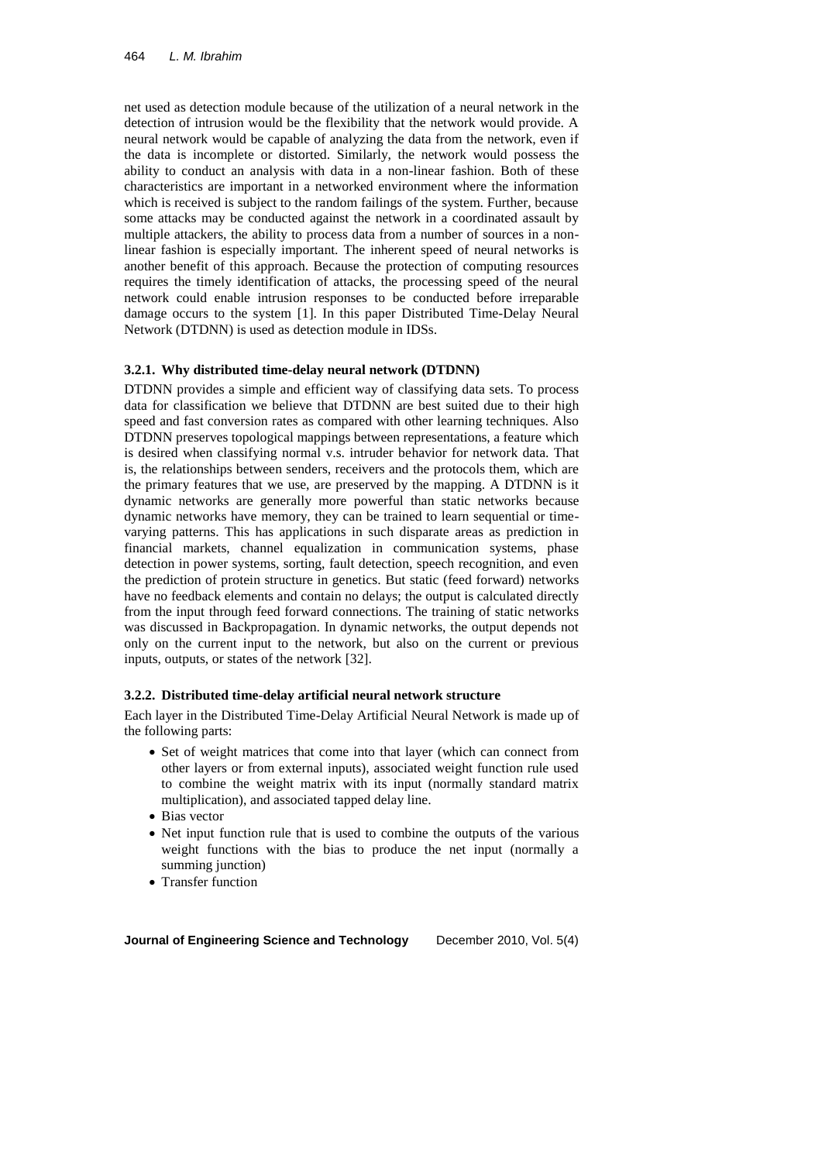net used as detection module because of the utilization of a neural network in the detection of intrusion would be the flexibility that the network would provide. A neural network would be capable of analyzing the data from the network, even if the data is incomplete or distorted. Similarly, the network would possess the ability to conduct an analysis with data in a non-linear fashion. Both of these characteristics are important in a networked environment where the information which is received is subject to the random failings of the system. Further, because some attacks may be conducted against the network in a coordinated assault by multiple attackers, the ability to process data from a number of sources in a nonlinear fashion is especially important. The inherent speed of neural networks is another benefit of this approach. Because the protection of computing resources requires the timely identification of attacks, the processing speed of the neural network could enable intrusion responses to be conducted before irreparable damage occurs to the system [1]. In this paper Distributed Time-Delay Neural Network (DTDNN) is used as detection module in IDSs.

#### **3.2.1. Why distributed time-delay neural network (DTDNN)**

DTDNN provides a simple and efficient way of classifying data sets. To process data for classification we believe that DTDNN are best suited due to their high speed and fast conversion rates as compared with other learning techniques. Also DTDNN preserves topological mappings between representations, a feature which is desired when classifying normal v.s. intruder behavior for network data. That is, the relationships between senders, receivers and the protocols them, which are the primary features that we use, are preserved by the mapping. A DTDNN is it dynamic networks are generally more powerful than static networks because dynamic networks have memory, they can be trained to learn sequential or timevarying patterns. This has applications in such disparate areas as prediction in financial markets, channel equalization in communication systems, phase detection in power systems, sorting, fault detection, speech recognition, and even the prediction of protein structure in genetics. But static (feed forward) networks have no feedback elements and contain no delays; the output is calculated directly from the input through feed forward connections. The training of static networks was discussed in Backpropagation. In dynamic networks, the output depends not only on the current input to the network, but also on the current or previous inputs, outputs, or states of the network [32].

#### **3.2.2. Distributed time-delay artificial neural network structure**

Each layer in the Distributed Time-Delay Artificial Neural Network is made up of the following parts:

- Set of weight matrices that come into that layer (which can connect from other layers or from external inputs), associated weight function rule used to combine the weight matrix with its input (normally standard matrix multiplication), and associated tapped delay line.
- Bias vector
- Net input function rule that is used to combine the outputs of the various weight functions with the bias to produce the net input (normally a summing junction)
- Transfer function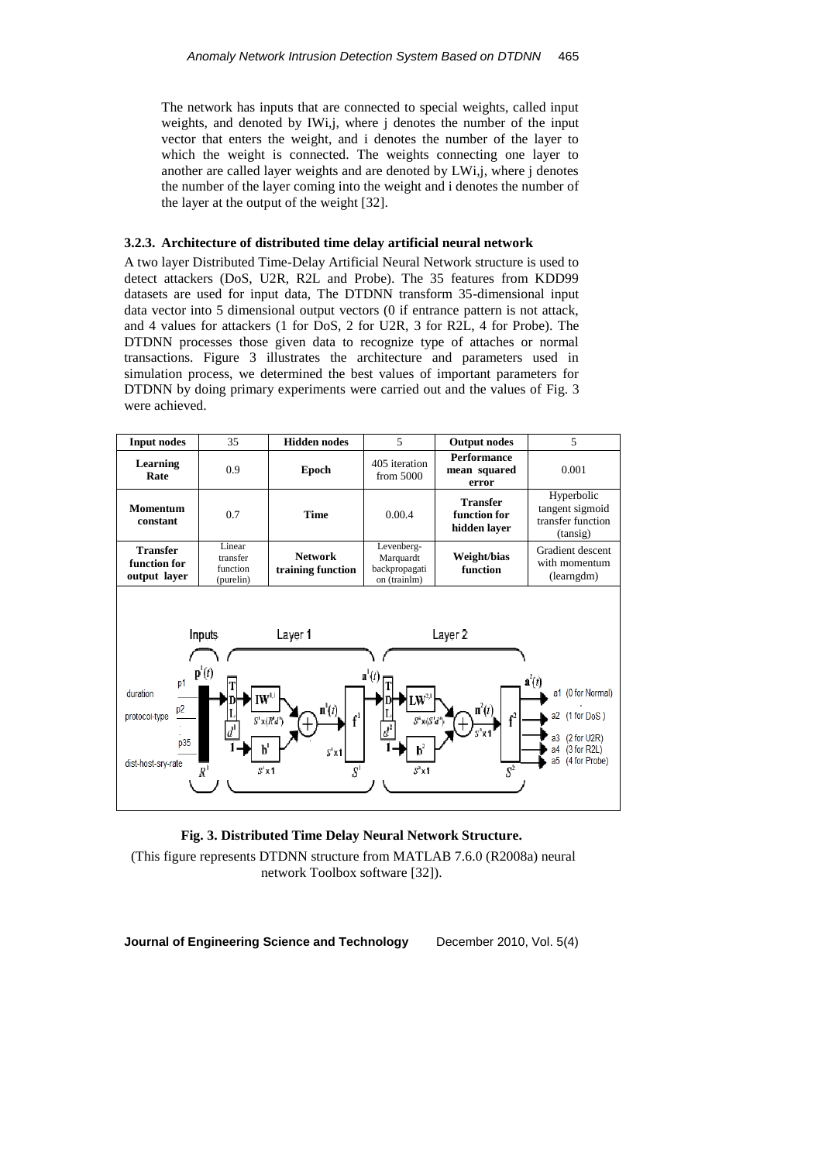The network has inputs that are connected to special weights, called input weights, and denoted by IWi,j, where j denotes the number of the input vector that enters the weight, and i denotes the number of the layer to which the weight is connected. The weights connecting one layer to another are called layer weights and are denoted by LWi,j, where j denotes the number of the layer coming into the weight and i denotes the number of the layer at the output of the weight [32].

#### **3.2.3. Architecture of distributed time delay artificial neural network**

A two layer Distributed Time-Delay Artificial Neural Network structure is used to detect attackers (DoS, U2R, R2L and Probe). The 35 features from KDD99 datasets are used for input data, The DTDNN transform 35-dimensional input data vector into 5 dimensional output vectors (0 if entrance pattern is not attack, and 4 values for attackers (1 for DoS, 2 for U2R, 3 for R2L, 4 for Probe). The DTDNN processes those given data to recognize type of attaches or normal transactions. Figure 3 illustrates the architecture and parameters used in simulation process, we determined the best values of important parameters for DTDNN by doing primary experiments were carried out and the values of Fig. 3 were achieved.





(This figure represents DTDNN structure from MATLAB 7.6.0 (R2008a) neural network Toolbox software [32]).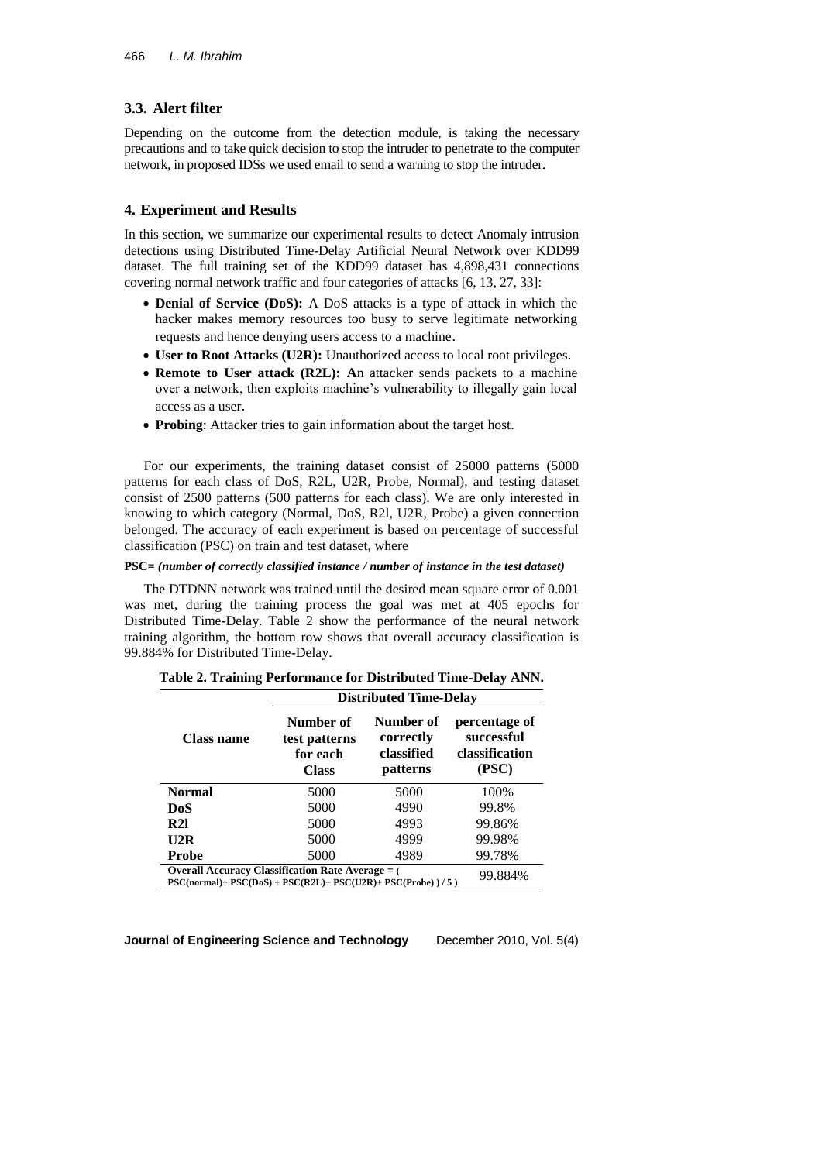## **3.3. Alert filter**

Depending on the outcome from the detection module, is taking the necessary precautions and to take quick decision to stop the intruder to penetrate to the computer network, in proposed IDSs we used email to send a warning to stop the intruder.

### **4. Experiment and Results**

In this section, we summarize our experimental results to detect Anomaly intrusion detections using Distributed Time-Delay Artificial Neural Network over KDD99 dataset. The full training set of the KDD99 dataset has 4,898,431 connections covering normal network traffic and four categories of attacks [6, 13, 27, 33]:

- **Denial of Service (DoS):** A DoS attacks is a type of attack in which the hacker makes memory resources too busy to serve legitimate networking requests and hence denying users access to a machine.
- **User to Root Attacks (U2R):** Unauthorized access to local root privileges.
- **Remote to User attack (R2L): A**n attacker sends packets to a machine over a network, then exploits machine's vulnerability to illegally gain local access as a user.
- **Probing**: Attacker tries to gain information about the target host.

For our experiments, the training dataset consist of 25000 patterns (5000 patterns for each class of DoS, R2L, U2R, Probe, Normal), and testing dataset consist of 2500 patterns (500 patterns for each class). We are only interested in knowing to which category (Normal, DoS, R2l, U2R, Probe) a given connection belonged. The accuracy of each experiment is based on percentage of successful classification (PSC) on train and test dataset, where

#### **PSC***= (number of correctly classified instance / number of instance in the test dataset)*

The DTDNN network was trained until the desired mean square error of 0.001 was met, during the training process the goal was met at 405 epochs for Distributed Time-Delay. Table 2 show the performance of the neural network training algorithm, the bottom row shows that overall accuracy classification is 99.884% for Distributed Time-Delay.

|                                                                                                                                 | <b>Distributed Time-Delay</b>                          |                                                  |        |  |
|---------------------------------------------------------------------------------------------------------------------------------|--------------------------------------------------------|--------------------------------------------------|--------|--|
| <b>Class name</b>                                                                                                               | Number of<br>test patterns<br>for each<br><b>Class</b> | Number of<br>correctly<br>classified<br>patterns |        |  |
| <b>Normal</b>                                                                                                                   | 5000                                                   | 5000                                             | 100%   |  |
| DoS                                                                                                                             | 5000                                                   | 4990                                             | 99.8%  |  |
| R21                                                                                                                             | 5000                                                   | 4993                                             | 99.86% |  |
| U2R                                                                                                                             | 5000                                                   | 4999                                             | 99.98% |  |
| <b>Probe</b>                                                                                                                    | 5000                                                   | 4989                                             | 99.78% |  |
| <b>Overall Accuracy Classification Rate Average = (</b><br>$\mathbf{E}$ because as percuriers percuriers percurity $\mathbf{E}$ | 99.884%                                                |                                                  |        |  |

#### **Table 2. Training Performance for Distributed Time-Delay ANN.**

**PSC(normal)+ PSC(DoS) + PSC(R2L)+ PSC(U2R)+ PSC(Probe) ) / 5 )**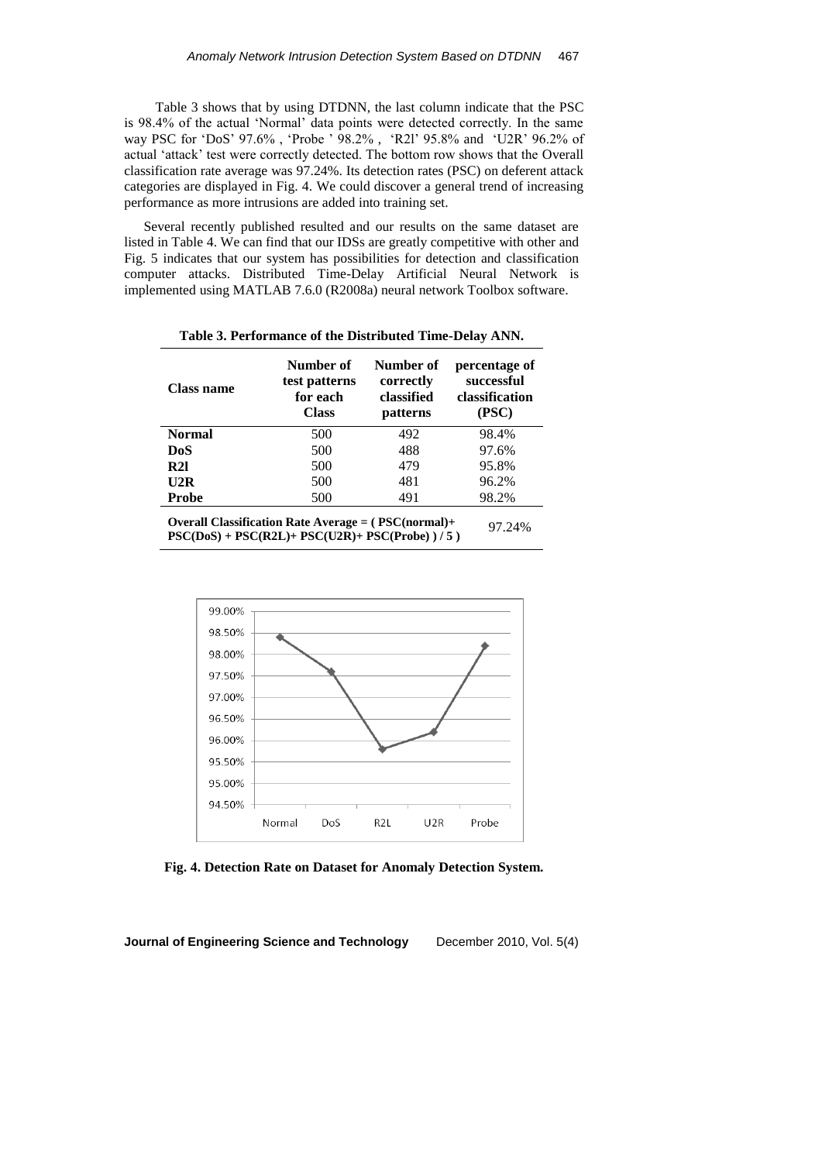Table 3 shows that by using DTDNN, the last column indicate that the PSC is 98.4% of the actual 'Normal' data points were detected correctly. In the same way PSC for 'DoS' 97.6% , 'Probe ' 98.2% , 'R2l' 95.8% and 'U2R' 96.2% of actual 'attack' test were correctly detected. The bottom row shows that the Overall classification rate average was 97.24%. Its detection rates (PSC) on deferent attack categories are displayed in Fig. 4. We could discover a general trend of increasing performance as more intrusions are added into training set.

Several recently published resulted and our results on the same dataset are listed in Table 4. We can find that our IDSs are greatly competitive with other and Fig. 5 indicates that our system has possibilities for detection and classification computer attacks. Distributed Time-Delay Artificial Neural Network is implemented using MATLAB 7.6.0 (R2008a) neural network Toolbox software.

| <b>Class name</b>                                  | Number of<br>test patterns<br>for each<br><b>Class</b> | Number of<br>correctly<br>classified<br>patterns | percentage of<br>successful<br>classification<br>(PSC) |  |
|----------------------------------------------------|--------------------------------------------------------|--------------------------------------------------|--------------------------------------------------------|--|
| <b>Normal</b>                                      | 500                                                    | 492                                              | 98.4%                                                  |  |
| DoS                                                | 500                                                    | 488                                              | 97.6%                                                  |  |
| R21                                                | 500                                                    | 479                                              | 95.8%                                                  |  |
| U2R                                                | 500                                                    | 481                                              | 96.2%                                                  |  |
| <b>Probe</b>                                       | 500                                                    | 491                                              | 98.2%                                                  |  |
| $OtransII Class factor Dot Atrans = (DEC(normal).$ |                                                        |                                                  |                                                        |  |

**Table 3. Performance of the Distributed Time-Delay ANN.**

**Overall Classification Rate Average = ( PSC(normal)+ PSC(DoS) + PSC(R2L)+ PSC(U2R)+ PSC(Probe) ) / 5 )** 97.24%



**Fig. 4. Detection Rate on Dataset for Anomaly Detection System.**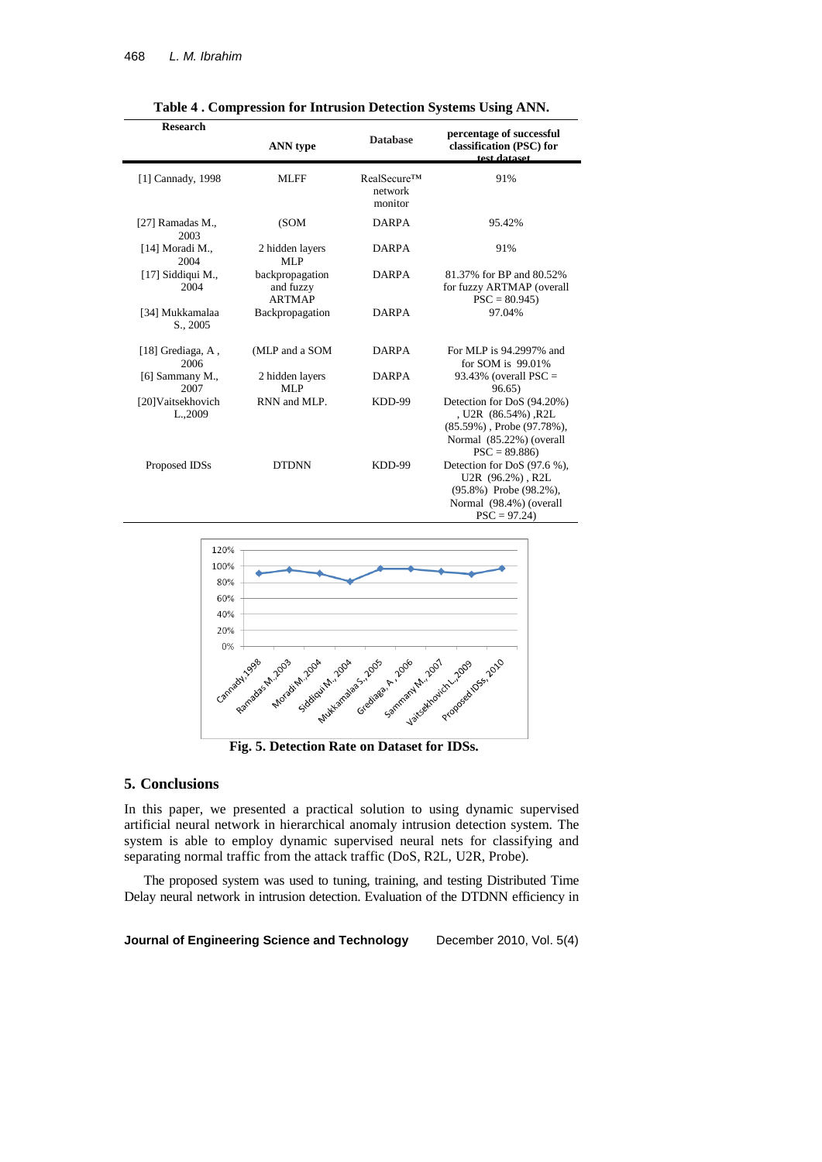| <b>Research</b>               | <b>ANN</b> type                               | <b>Database</b>                   | percentage of successful<br>classification (PSC) for<br>tost dataset                                                                 |
|-------------------------------|-----------------------------------------------|-----------------------------------|--------------------------------------------------------------------------------------------------------------------------------------|
| [1] Cannady, 1998             | <b>MLFF</b>                                   | RealSecure™<br>network<br>monitor | 91%                                                                                                                                  |
| [27] Ramadas M.,<br>2003      | (SOM)                                         | <b>DARPA</b>                      | 95.42%                                                                                                                               |
| [14] Moradi M.,<br>2004       | 2 hidden layers<br>MLP                        | <b>DARPA</b>                      | 91%                                                                                                                                  |
| [17] Siddiqui M.,<br>2004     | backpropagation<br>and fuzzy<br><b>ARTMAP</b> | <b>DARPA</b>                      | 81.37% for BP and 80.52%<br>for fuzzy ARTMAP (overall<br>$PSC = 80.945$                                                              |
| [34] Mukkamalaa<br>S., 2005   | Backpropagation                               | <b>DARPA</b>                      | 97.04%                                                                                                                               |
| [18] Grediaga, A.<br>2006     | (MLP and a SOM                                | <b>DARPA</b>                      | For MLP is 94.2997% and<br>for SOM is 99.01%                                                                                         |
| [6] Sammany M.,<br>2007       | 2 hidden layers<br>MLP                        | <b>DARPA</b>                      | 93.43% (overall $PSC =$<br>96.65)                                                                                                    |
| [20] Vaitsekhovich<br>L.,2009 | RNN and MLP.                                  | KDD-99                            | Detection for DoS (94.20%)<br>, U2R (86.54%), R2L<br>$(85.59\%)$ , Probe $(97.78\%)$ ,<br>Normal (85.22%) (overall<br>$PSC = 89.886$ |
| Proposed IDSs                 | <b>DTDNN</b>                                  | KDD-99                            | Detection for DoS (97.6 %),<br>U2R (96.2%), R2L<br>$(95.8\%)$ Probe $(98.2\%)$ ,<br>Normal (98.4%) (overall<br>$PSC = 97.24$         |

**Table 4 . Compression for Intrusion Detection Systems Using ANN.**



**Fig. 5. Detection Rate on Dataset for IDSs.**

### **5. Conclusions**

In this paper, we presented a practical solution to using dynamic supervised artificial neural network in hierarchical anomaly intrusion detection system. The system is able to employ dynamic supervised neural nets for classifying and separating normal traffic from the attack traffic (DoS, R2L, U2R, Probe).

The proposed system was used to tuning, training, and testing Distributed Time Delay neural network in intrusion detection. Evaluation of the DTDNN efficiency in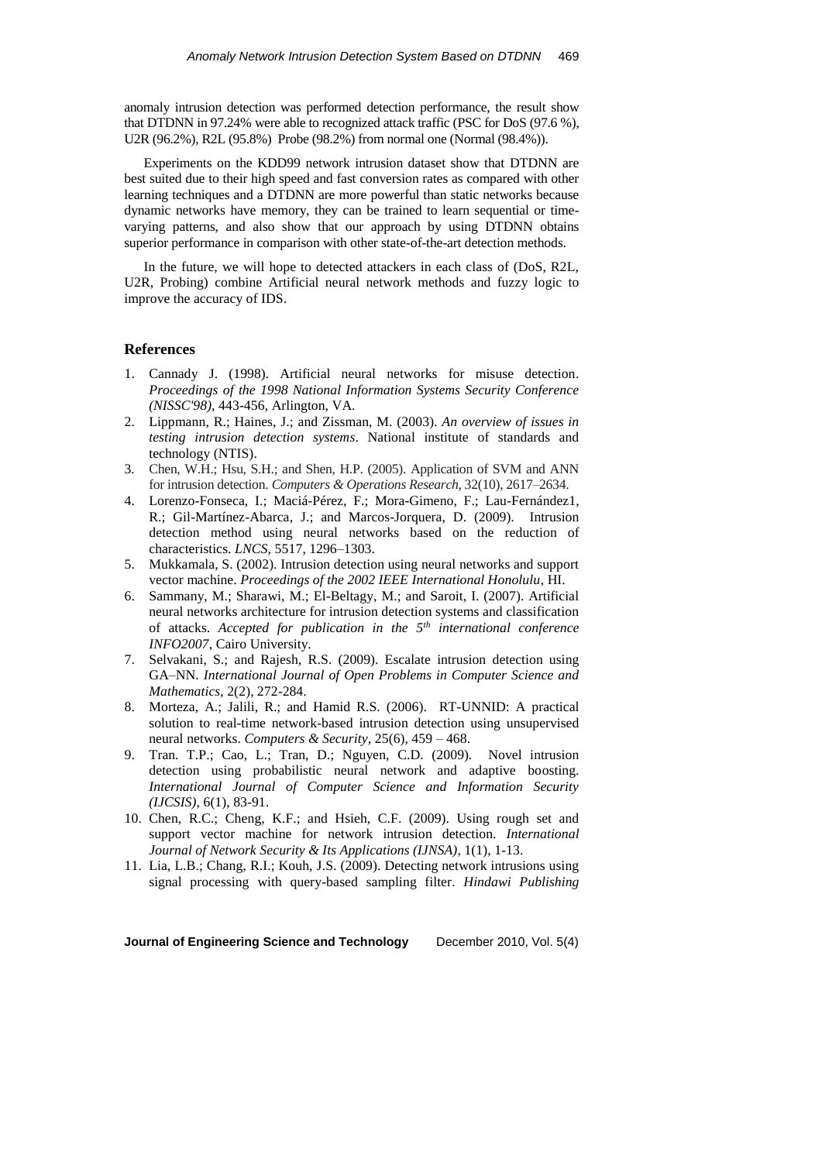anomaly intrusion detection was performed detection performance, the result show that DTDNN in 97.24% were able to recognized attack traffic (PSC for DoS (97.6 %), U2R (96.2%), R2L (95.8%) Probe (98.2%) from normal one (Normal (98.4%)).

Experiments on the KDD99 network intrusion dataset show that DTDNN are best suited due to their high speed and fast conversion rates as compared with other learning techniques and a DTDNN are more powerful than static networks because dynamic networks have memory, they can be trained to learn sequential or timevarying patterns, and also show that our approach by using DTDNN obtains superior performance in comparison with other state-of-the-art detection methods.

In the future, we will hope to detected attackers in each class of (DoS, R2L, U2R, Probing) combine Artificial neural network methods and fuzzy logic to improve the accuracy of IDS.

### **References**

- 1. Cannady J. (1998). Artificial neural networks for misuse detection. *Proceedings of the 1998 National Information Systems Security Conference (NISSC'98)*, 443-456, Arlington, VA.
- 2. Lippmann, R.; Haines, J.; and Zissman, M. (2003). *An overview of issues in testing intrusion detection systems*. National institute of standards and technology (NTIS).
- 3. Chen, W.H.; Hsu, S.H.; and Shen, H.P. (2005). Application of SVM and ANN for intrusion detection. *Computers & Operations Research*, 32(10), 2617–2634.
- 4. Lorenzo-Fonseca, I.; Maciá-Pérez, F.; Mora-Gimeno, F.; Lau-Fernández1, R.; Gil-Martínez-Abarca, J.; and Marcos-Jorquera, D. (2009). Intrusion detection method using neural networks based on the reduction of characteristics. *LNCS,* 5517, 1296–1303.
- 5. Mukkamala, S. (2002). Intrusion detection using neural networks and support vector machine. *Proceedings of the 2002 IEEE International Honolulu*, HI.
- 6. Sammany, M.; Sharawi, M.; El-Beltagy, M.; and Saroit, I. (2007). Artificial neural networks architecture for intrusion detection systems and classification of attacks. *Accepted for publication in the 5th international conference INFO2007*, [Cairo University.](http://whitepapers.silicon.com/publisher/39039198/cairo-university.htm)
- 7. Selvakani, S.; and Rajesh, R.S. (2009). Escalate intrusion detection using GA–NN. *International Journal of Open Problems in Computer Science and Mathematics*, 2(2), 272-284.
- 8. Morteza, A.; Jalili, R.; and Hamid R.S. (2006). RT-UNNID: A practical solution to real-time network-based intrusion detection using unsupervised neural networks. *Computers & Security*, 25(6), 459 – 468.
- 9. Tran. T.P.; Cao, L.; Tran, D.; Nguyen, C.D. (2009). Novel intrusion detection using probabilistic neural network and adaptive boosting. *International Journal of Computer Science and Information Security (IJCSIS)*, 6(1), 83-91.
- 10. Chen, R.C.; Cheng, K.F.; and Hsieh, C.F. (2009). Using rough set and support vector machine for network intrusion detection. *International Journal of Network Security & Its Applications (IJNSA)*, 1(1), 1-13.
- 11. Lia, L.B.; Chang, R.I.; Kouh, J.S. (2009). Detecting network intrusions using signal processing with query-based sampling filter. *Hindawi Publishing*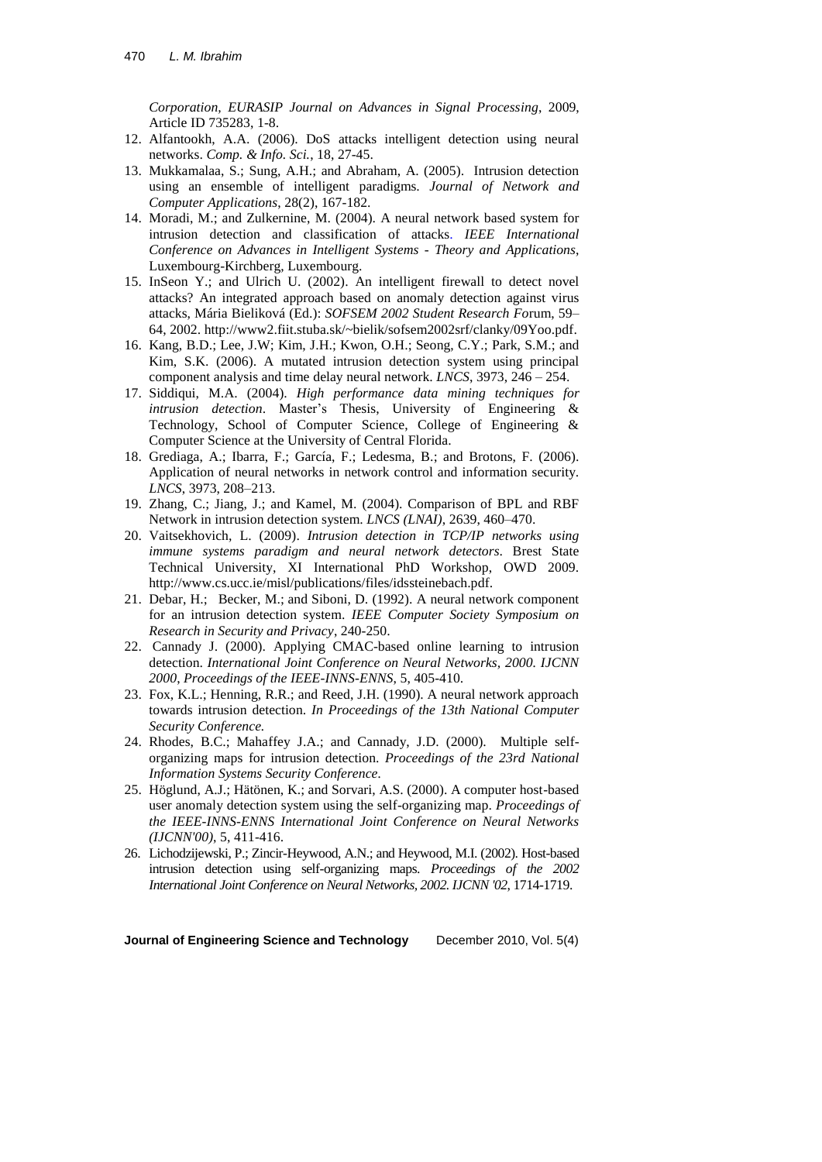*Corporation, EURASIP Journal on Advances in Signal Processing*, 2009, Article ID 735283, 1-8.

- 12. Alfantookh, A.A. (2006). DoS attacks intelligent detection using neural networks. *Comp. & Info. Sci.*, 18, 27-45.
- 13. Mukkamalaa, S.; Sung, A.H.; and Abraham, A. (2005). Intrusion detection using an ensemble of intelligent paradigms. *Journal of Network and Computer Applications*, 28(2), 167-182.
- 14. Moradi, M.; and Zulkernine, M. (2004). A neural network based system for intrusion detection and classification of attacks. *IEEE International Conference on Advances in Intelligent Systems - Theory and Applications*, Luxembourg-Kirchberg, Luxembourg.
- 15. InSeon Y.; and Ulrich U. (2002). An intelligent firewall to detect novel attacks? An integrated approach based on anomaly detection against virus attacks, Mária Bieliková (Ed.): *SOFSEM 2002 Student Research Fo*rum, 59– 64, 2002. [http://www2.fiit.stuba.sk/~bielik/sofsem2002srf/clanky/09Yoo.pdf.](http://www2.fiit.stuba.sk/~bielik/sofsem2002srf/clanky/09Yoo.pdf)
- 16. Kang, B.D.; Lee, J.W; Kim, J.H.; Kwon, O.H.; Seong, C.Y.; Park, S.M.; and Kim, S.K. (2006). A mutated intrusion detection system using principal component analysis and time delay neural network. *LNCS*, 3973, 246 – 254.
- 17. Siddiqui, M.A. (2004). *High performance data mining techniques for intrusion detection*. Master's Thesis, University of Engineering & Technology, School of Computer Science, College of Engineering & Computer Science at the University of Central Florida.
- 18. Grediaga, A.; Ibarra, F.; García, F.; Ledesma, B.; and Brotons, F. (2006). Application of neural networks in network control and information security. *LNCS*, 3973, 208–213.
- 19. Zhang, C.; Jiang, J.; and Kamel, M. (2004). Comparison of BPL and RBF Network in intrusion detection system. *LNCS (LNAI)*, 2639, 460–470.
- 20. Vaitsekhovich, L. (2009). *Intrusion detection in TCP/IP networks using immune systems paradigm and neural network detectors*. Brest State Technical University, XI International PhD Workshop, OWD 2009. [http://www.cs.ucc.ie/misl/publications/files/idssteinebach.pdf.](http://www.cs.ucc.ie/misl/publications/files/idssteinebach.pdf)
- 21. Debar, H.; Becker, M.; and Siboni, D. (1992). A neural network component for an intrusion detection system. *IEEE Computer Society Symposium on Research in Security and Privacy*, 240-250.
- 22. Cannady J. (2000). Applying CMAC-based online learning to intrusion detection. *International Joint Conference on Neural Networks, 2000. IJCNN 2000*, *Proceedings of the IEEE-INNS-ENNS*, 5, 405-410.
- 23. Fox, K.L.; Henning, R.R.; and Reed, J.H. (1990). A neural network approach towards intrusion detection. *In Proceedings of the 13th National Computer Security Conference.*
- 24. Rhodes, B.C.; Mahaffey J.A.; and Cannady, J.D. (2000). Multiple selforganizing maps for intrusion detection. *Proceedings of the 23rd National Information Systems Security Conference.*
- 25. Höglund, A.J.; Hätönen, K.; and Sorvari, A.S. (2000). A computer host-based user anomaly detection system using the self-organizing map. *Proceedings of the IEEE-INNS-ENNS International Joint Conference on Neural Networks (IJCNN'00)*, 5, 411-416.
- 26. Lichodzijewski, P.; Zincir-Heywood, A.N.; and Heywood, M.I. (2002). Host-based intrusion detection using self-organizing maps. *Proceedings of the 2002 International Joint Conference on Neural Networks, 2002. IJCNN '02*, 1714-1719.